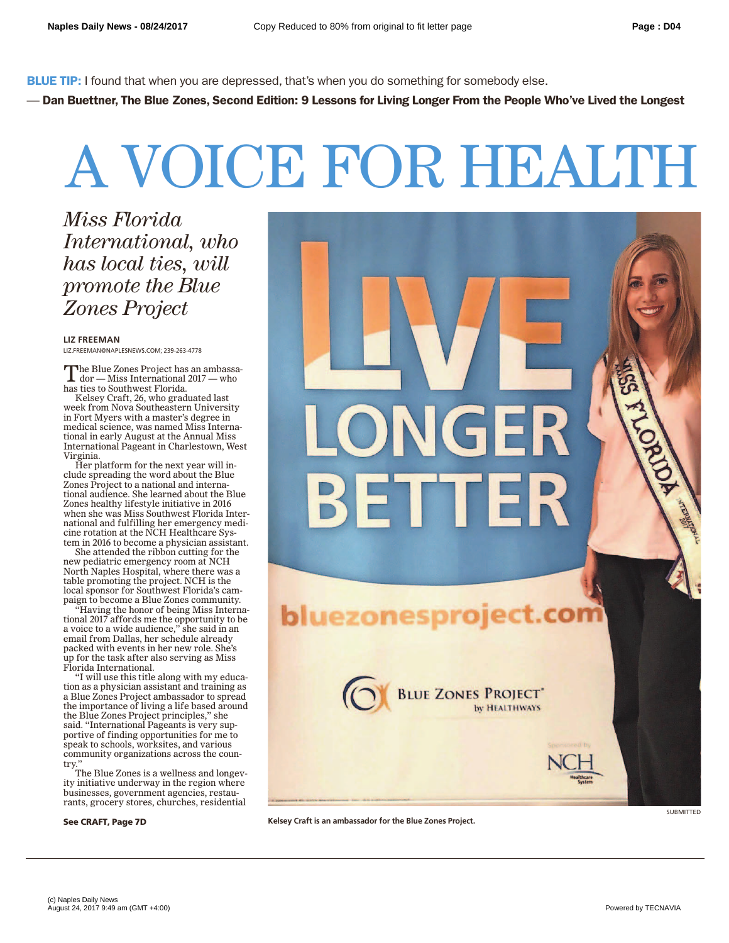**BLUE TIP:** I found that when you are depressed, that's when you do something for somebody else.

— **Dan Buettner, The Blue Zones, Second Edition: 9 Lessons for Living Longer From the People Who've Lived the Longest**

## A VOICE FOR HEALTH

*Miss Florida International, who has local ties, will promote the Blue Zones Project*

**LIZ FREEMAN**

LIZ.FREEMAN@NAPLESNEWS.COM; 239-263-4778

The Blue Zones Project has an ambassa-<br>dor — Miss International 2017 — who has ties to Southwest Florida.

Kelsey Craft, 26, who graduated last week from Nova Southeastern University in Fort Myers with a master's degree in medical science, was named Miss International in early August at the Annual Miss International Pageant in Charlestown, West Virginia.

Her platform for the next year will include spreading the word about the Blue Zones Project to a national and international audience. She learned about the Blue Zones healthy lifestyle initiative in 2016 when she was Miss Southwest Florida International and fulfilling her emergency medicine rotation at the NCH Healthcare System in 2016 to become a physician assistant.

She attended the ribbon cutting for the new pediatric emergency room at NCH North Naples Hospital, where there was a table promoting the project. NCH is the local sponsor for Southwest Florida's campaign to become a Blue Zones community.

"Having the honor of being Miss International 2017 affords me the opportunity to be a voice to a wide audience," she said in an email from Dallas, her schedule already packed with events in her new role. She's up for the task after also serving as Miss Florida International.

"I will use this title along with my education as a physician assistant and training as a Blue Zones Project ambassador to spread the importance of living a life based around the Blue Zones Project principles," she said. "International Pageants is very supportive of finding opportunities for me to speak to schools, worksites, and various community organizations across the country."

The Blue Zones is a wellness and longevity initiative underway in the region where businesses, government agencies, restaurants, grocery stores, churches, residential

**See CRAFT, Page 7D**



**Kelsey Craft is an ambassador for the Blue Zones Project.**

SUBMITTED